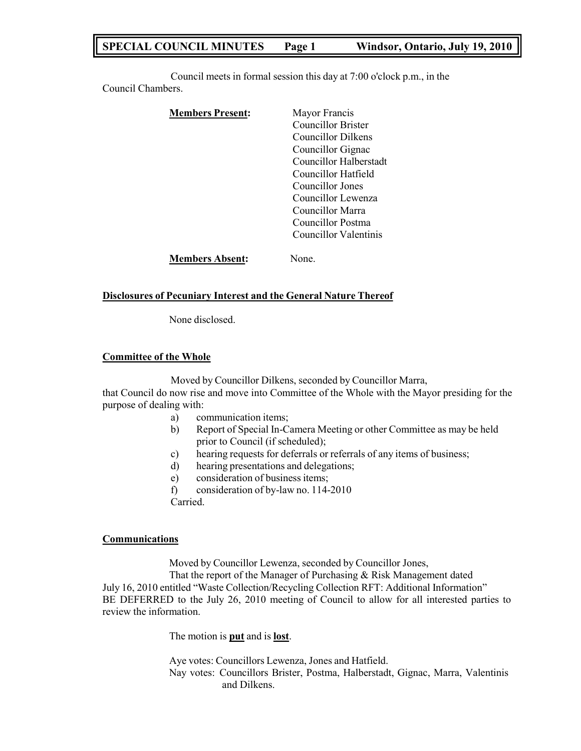# **SPECIAL COUNCIL MINUTES Page 1 Windsor, Ontario, July 19, 2010**

Council meets in formal session this day at 7:00 o'clock p.m., in the Council Chambers.

| <b>Members Present:</b> | Mayor Francis          |
|-------------------------|------------------------|
|                         | Councillor Brister     |
|                         | Councillor Dilkens     |
|                         | Councillor Gignac      |
|                         | Councillor Halberstadt |
|                         | Councillor Hatfield    |
|                         | Councillor Jones       |
|                         | Councillor Lewenza     |
|                         | Councillor Marra       |
|                         | Councillor Postma      |
|                         | Councillor Valentinis  |
| <b>Members Absent:</b>  | Jone−                  |

#### **Disclosures of Pecuniary Interest and the General Nature Thereof**

None disclosed.

#### **Committee of the Whole**

Moved by Councillor Dilkens, seconded by Councillor Marra,

that Council do now rise and move into Committee of the Whole with the Mayor presiding for the purpose of dealing with:

- a) communication items;
- b) Report of Special In-Camera Meeting or other Committee as may be held prior to Council (if scheduled);
- c) hearing requests for deferrals or referrals of any items of business;
- d) hearing presentations and delegations;
- e) consideration of business items;
- f) consideration of by-law no. 114-2010

Carried.

#### **Communications**

Moved by Councillor Lewenza, seconded by Councillor Jones,

That the report of the Manager of Purchasing & Risk Management dated July 16, 2010 entitled "Waste Collection/Recycling Collection RFT: Additional Information" BE DEFERRED to the July 26, 2010 meeting of Council to allow for all interested parties to review the information.

The motion is **put** and is **lost**.

Aye votes: Councillors Lewenza, Jones and Hatfield. Nay votes: Councillors Brister, Postma, Halberstadt, Gignac, Marra, Valentinis and Dilkens.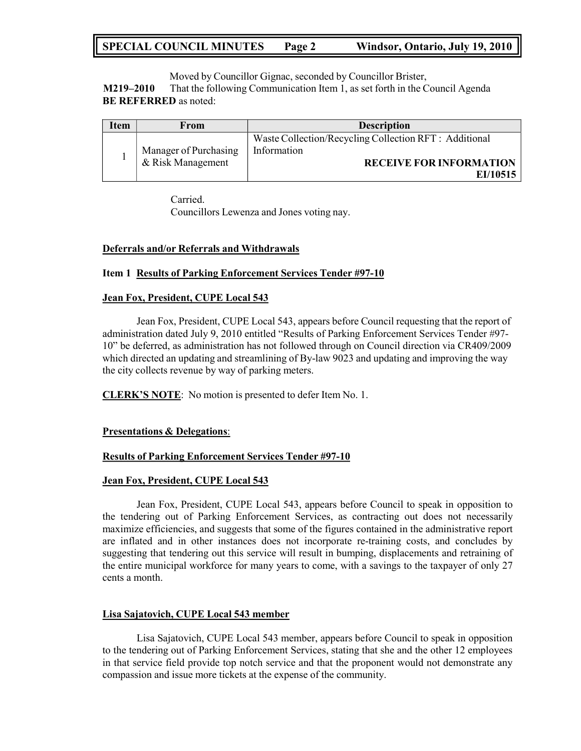# **SPECIAL COUNCIL MINUTES Page 2 Windsor, Ontario, July 19, 2010**

Moved by Councillor Gignac, seconded by Councillor Brister, **M219–2010** That the following Communication Item 1, as set forth in the Council Agenda **BE REFERRED** as noted:

| Item | From                  | <b>Description</b>                                                    |
|------|-----------------------|-----------------------------------------------------------------------|
|      | Manager of Purchasing | Waste Collection/Recycling Collection RFT : Additional<br>Information |
|      | & Risk Management     | <b>RECEIVE FOR INFORMATION</b><br>EI/10515                            |

Carried.

Councillors Lewenza and Jones voting nay.

#### **Deferrals and/or Referrals and Withdrawals**

#### **Item 1 Results of Parking Enforcement Services Tender #97-10**

#### **Jean Fox, President, CUPE Local 543**

Jean Fox, President, CUPE Local 543, appears before Council requesting that the report of administration dated July 9, 2010 entitled "Results of Parking Enforcement Services Tender #97- 10" be deferred, as administration has not followed through on Council direction via CR409/2009 which directed an updating and streamlining of By-law 9023 and updating and improving the way the city collects revenue by way of parking meters.

**CLERK'S NOTE**: No motion is presented to defer Item No. 1.

#### **Presentations & Delegations**:

#### **Results of Parking Enforcement Services Tender #97-10**

#### **Jean Fox, President, CUPE Local 543**

Jean Fox, President, CUPE Local 543, appears before Council to speak in opposition to the tendering out of Parking Enforcement Services, as contracting out does not necessarily maximize efficiencies, and suggests that some of the figures contained in the administrative report are inflated and in other instances does not incorporate re-training costs, and concludes by suggesting that tendering out this service will result in bumping, displacements and retraining of the entire municipal workforce for many years to come, with a savings to the taxpayer of only 27 cents a month.

#### **Lisa Sajatovich, CUPE Local 543 member**

Lisa Sajatovich, CUPE Local 543 member, appears before Council to speak in opposition to the tendering out of Parking Enforcement Services, stating that she and the other 12 employees in that service field provide top notch service and that the proponent would not demonstrate any compassion and issue more tickets at the expense of the community.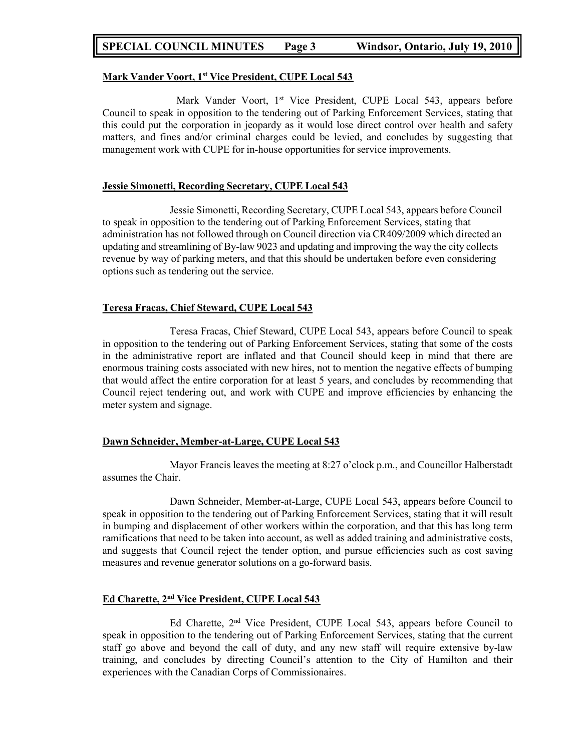### **SPECIAL COUNCIL MINUTES Page 3 Windsor, Ontario, July 19, 2010**

#### **Mark Vander Voort, 1 st Vice President, CUPE Local 543**

Mark Vander Voort, 1<sup>st</sup> Vice President, CUPE Local 543, appears before Council to speak in opposition to the tendering out of Parking Enforcement Services, stating that this could put the corporation in jeopardy as it would lose direct control over health and safety matters, and fines and/or criminal charges could be levied, and concludes by suggesting that management work with CUPE for in-house opportunities for service improvements.

#### **Jessie Simonetti, Recording Secretary, CUPE Local 543**

Jessie Simonetti, Recording Secretary, CUPE Local 543, appears before Council to speak in opposition to the tendering out of Parking Enforcement Services, stating that administration has not followed through on Council direction via CR409/2009 which directed an updating and streamlining of By-law 9023 and updating and improving the way the city collects revenue by way of parking meters, and that this should be undertaken before even considering options such as tendering out the service.

#### **Teresa Fracas, Chief Steward, CUPE Local 543**

Teresa Fracas, Chief Steward, CUPE Local 543, appears before Council to speak in opposition to the tendering out of Parking Enforcement Services, stating that some of the costs in the administrative report are inflated and that Council should keep in mind that there are enormous training costs associated with new hires, not to mention the negative effects of bumping that would affect the entire corporation for at least 5 years, and concludes by recommending that Council reject tendering out, and work with CUPE and improve efficiencies by enhancing the meter system and signage.

#### **Dawn Schneider, Member-at-Large, CUPE Local 543**

Mayor Francis leaves the meeting at 8:27 o'clock p.m., and Councillor Halberstadt assumes the Chair.

Dawn Schneider, Member-at-Large, CUPE Local 543, appears before Council to speak in opposition to the tendering out of Parking Enforcement Services, stating that it will result in bumping and displacement of other workers within the corporation, and that this has long term ramifications that need to be taken into account, as well as added training and administrative costs, and suggests that Council reject the tender option, and pursue efficiencies such as cost saving measures and revenue generator solutions on a go-forward basis.

#### **Ed Charette, 2 nd Vice President, CUPE Local 543**

Ed Charette, 2nd Vice President, CUPE Local 543, appears before Council to speak in opposition to the tendering out of Parking Enforcement Services, stating that the current staff go above and beyond the call of duty, and any new staff will require extensive by-law training, and concludes by directing Council's attention to the City of Hamilton and their experiences with the Canadian Corps of Commissionaires.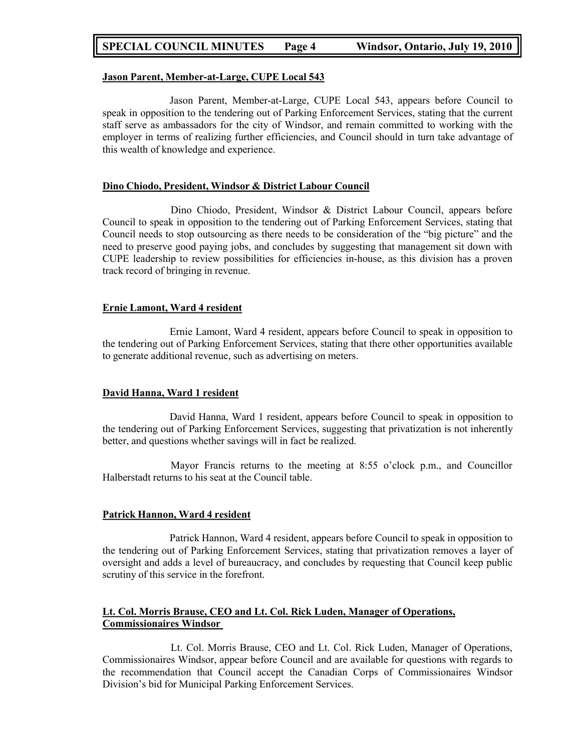### **SPECIAL COUNCIL MINUTES Page 4 Windsor, Ontario, July 19, 2010**

#### **Jason Parent, Member-at-Large, CUPE Local 543**

Jason Parent, Member-at-Large, CUPE Local 543, appears before Council to speak in opposition to the tendering out of Parking Enforcement Services, stating that the current staff serve as ambassadors for the city of Windsor, and remain committed to working with the employer in terms of realizing further efficiencies, and Council should in turn take advantage of this wealth of knowledge and experience.

#### **Dino Chiodo, President, Windsor & District Labour Council**

Dino Chiodo, President, Windsor & District Labour Council, appears before Council to speak in opposition to the tendering out of Parking Enforcement Services, stating that Council needs to stop outsourcing as there needs to be consideration of the "big picture" and the need to preserve good paying jobs, and concludes by suggesting that management sit down with CUPE leadership to review possibilities for efficiencies in-house, as this division has a proven track record of bringing in revenue.

#### **Ernie Lamont, Ward 4 resident**

Ernie Lamont, Ward 4 resident, appears before Council to speak in opposition to the tendering out of Parking Enforcement Services, stating that there other opportunities available to generate additional revenue, such as advertising on meters.

#### **David Hanna, Ward 1 resident**

David Hanna, Ward 1 resident, appears before Council to speak in opposition to the tendering out of Parking Enforcement Services, suggesting that privatization is not inherently better, and questions whether savings will in fact be realized.

Mayor Francis returns to the meeting at 8:55 o'clock p.m., and Councillor Halberstadt returns to his seat at the Council table.

#### **Patrick Hannon, Ward 4 resident**

Patrick Hannon, Ward 4 resident, appears before Council to speak in opposition to the tendering out of Parking Enforcement Services, stating that privatization removes a layer of oversight and adds a level of bureaucracy, and concludes by requesting that Council keep public scrutiny of this service in the forefront.

#### **Lt. Col. Morris Brause, CEO and Lt. Col. Rick Luden, Manager of Operations, Commissionaires Windsor**

Lt. Col. Morris Brause, CEO and Lt. Col. Rick Luden, Manager of Operations, Commissionaires Windsor, appear before Council and are available for questions with regards to the recommendation that Council accept the Canadian Corps of Commissionaires Windsor Division's bid for Municipal Parking Enforcement Services.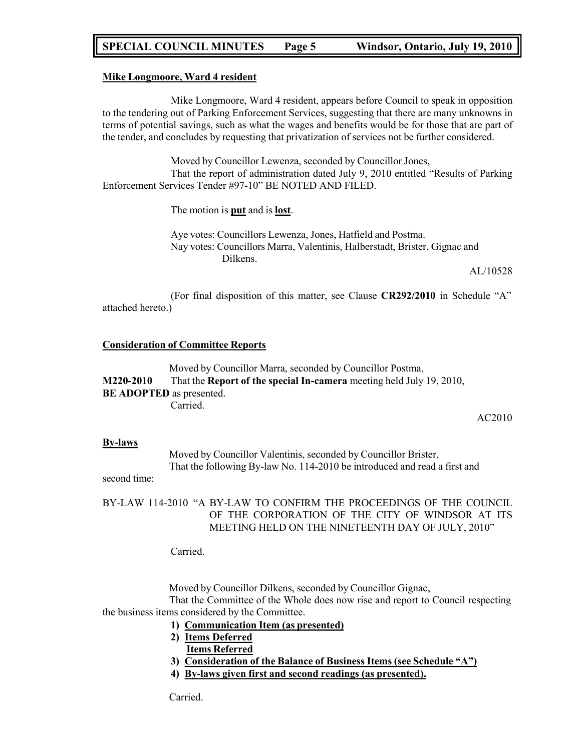# **SPECIAL COUNCIL MINUTES Page 5 Windsor, Ontario, July 19, 2010**

#### **Mike Longmoore, Ward 4 resident**

Mike Longmoore, Ward 4 resident, appears before Council to speak in opposition to the tendering out of Parking Enforcement Services, suggesting that there are many unknowns in terms of potential savings, such as what the wages and benefits would be for those that are part of the tender, and concludes by requesting that privatization of services not be further considered.

Moved by Councillor Lewenza, seconded by Councillor Jones, That the report of administration dated July 9, 2010 entitled "Results of Parking Enforcement Services Tender #97-10" BE NOTED AND FILED.

The motion is **put** and is **lost**.

Aye votes: Councillors Lewenza, Jones, Hatfield and Postma. Nay votes: Councillors Marra, Valentinis, Halberstadt, Brister, Gignac and Dilkens.

AL/10528

(For final disposition of this matter, see Clause **CR292/2010** in Schedule "A" attached hereto.)

#### **Consideration of Committee Reports**

Moved by Councillor Marra, seconded by Councillor Postma, **M220-2010** That the **Report of the special In-camera** meeting held July 19, 2010, **BE ADOPTED** as presented. Carried.

AC2010

#### **By-laws**

Moved by Councillor Valentinis, seconded by Councillor Brister, That the following By-law No. 114-2010 be introduced and read a first and

second time:

#### BY-LAW 114-2010 "A BY-LAW TO CONFIRM THE PROCEEDINGS OF THE COUNCIL OF THE CORPORATION OF THE CITY OF WINDSOR AT ITS MEETING HELD ON THE NINETEENTH DAY OF JULY, 2010"

Carried.

Moved by Councillor Dilkens, seconded by Councillor Gignac,

That the Committee of the Whole does now rise and report to Council respecting the business items considered by the Committee.

- **1) Communication Item (as presented)**
- **2) Items Deferred Items Referred**
- **3) Consideration of the Balance of Business Items (see Schedule "A")**
- **4) By-laws given first and second readings (as presented).**

Carried.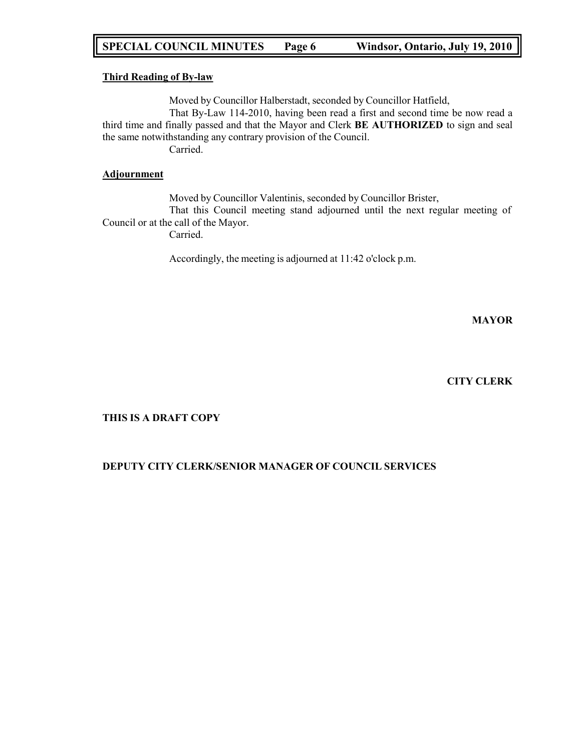# **SPECIAL COUNCIL MINUTES Page 6 Windsor, Ontario, July 19, 2010**

#### **Third Reading of By-law**

Moved by Councillor Halberstadt, seconded by Councillor Hatfield,

That By-Law 114-2010, having been read a first and second time be now read a third time and finally passed and that the Mayor and Clerk **BE AUTHORIZED** to sign and seal the same notwithstanding any contrary provision of the Council.

Carried.

#### **Adjournment**

Moved by Councillor Valentinis, seconded by Councillor Brister, That this Council meeting stand adjourned until the next regular meeting of Council or at the call of the Mayor. Carried.

Accordingly, the meeting is adjourned at 11:42 o'clock p.m.

**MAYOR**

### **CITY CLERK**

#### **THIS IS A DRAFT COPY**

#### **DEPUTY CITY CLERK/SENIOR MANAGER OF COUNCIL SERVICES**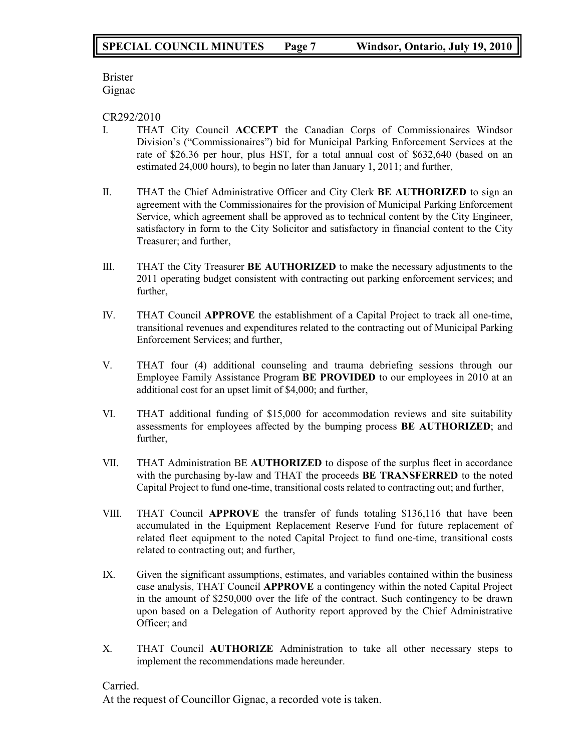Brister Gignac

CR292/2010

- I. THAT City Council **ACCEPT** the Canadian Corps of Commissionaires Windsor Division's ("Commissionaires") bid for Municipal Parking Enforcement Services at the rate of \$26.36 per hour, plus HST, for a total annual cost of \$632,640 (based on an estimated 24,000 hours), to begin no later than January 1, 2011; and further,
- II. THAT the Chief Administrative Officer and City Clerk **BE AUTHORIZED** to sign an agreement with the Commissionaires for the provision of Municipal Parking Enforcement Service, which agreement shall be approved as to technical content by the City Engineer, satisfactory in form to the City Solicitor and satisfactory in financial content to the City Treasurer; and further,
- III. THAT the City Treasurer **BE AUTHORIZED** to make the necessary adjustments to the 2011 operating budget consistent with contracting out parking enforcement services; and further,
- IV. THAT Council **APPROVE** the establishment of a Capital Project to track all one-time, transitional revenues and expenditures related to the contracting out of Municipal Parking Enforcement Services; and further,
- V. THAT four (4) additional counseling and trauma debriefing sessions through our Employee Family Assistance Program **BE PROVIDED** to our employees in 2010 at an additional cost for an upset limit of \$4,000; and further,
- VI. THAT additional funding of \$15,000 for accommodation reviews and site suitability assessments for employees affected by the bumping process **BE AUTHORIZED**; and further,
- VII. THAT Administration BE **AUTHORIZED** to dispose of the surplus fleet in accordance with the purchasing by-law and THAT the proceeds **BE TRANSFERRED** to the noted Capital Project to fund one-time, transitional costs related to contracting out; and further,
- VIII. THAT Council **APPROVE** the transfer of funds totaling \$136,116 that have been accumulated in the Equipment Replacement Reserve Fund for future replacement of related fleet equipment to the noted Capital Project to fund one-time, transitional costs related to contracting out; and further,
- IX. Given the significant assumptions, estimates, and variables contained within the business case analysis, THAT Council **APPROVE** a contingency within the noted Capital Project in the amount of \$250,000 over the life of the contract. Such contingency to be drawn upon based on a Delegation of Authority report approved by the Chief Administrative Officer; and
- X. THAT Council **AUTHORIZE** Administration to take all other necessary steps to implement the recommendations made hereunder.

### Carried.

At the request of Councillor Gignac, a recorded vote is taken.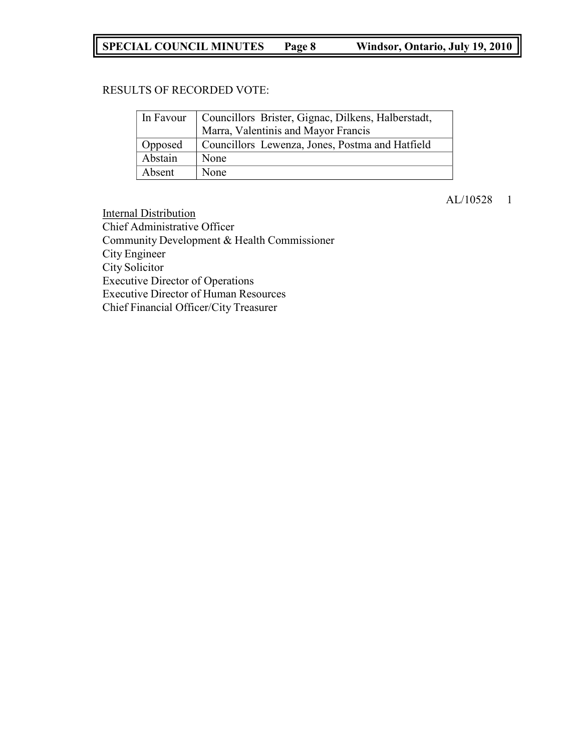# **SPECIAL COUNCIL MINUTES Page 8 Windsor, Ontario, July 19, 2010**

### RESULTS OF RECORDED VOTE:

|         | In Favour   Councillors Brister, Gignac, Dilkens, Halberstadt, |  |
|---------|----------------------------------------------------------------|--|
|         | Marra, Valentinis and Mayor Francis                            |  |
| Opposed | Councillors Lewenza, Jones, Postma and Hatfield                |  |
| Abstain | None                                                           |  |
| Absent  | None                                                           |  |

# AL/10528 1

Internal Distribution Chief Administrative Officer Community Development & Health Commissioner City Engineer City Solicitor Executive Director of Operations Executive Director of Human Resources Chief Financial Officer/City Treasurer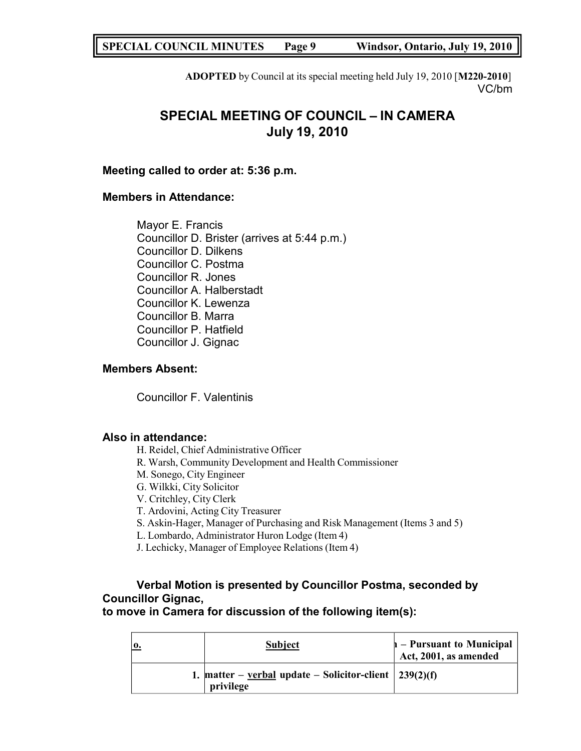**SPECIAL COUNCIL MINUTES Page 9 Windsor, Ontario, July 19, 2010**

**ADOPTED** by Council at its special meeting held July 19, 2010 [**M220-2010**] VC/bm

# **SPECIAL MEETING OF COUNCIL – IN CAMERA July 19, 2010**

### **Meeting called to order at: 5:36 p.m.**

### **Members in Attendance:**

Mayor E. Francis Councillor D. Brister (arrives at 5:44 p.m.) Councillor D. Dilkens Councillor C. Postma Councillor R. Jones Councillor A. Halberstadt Councillor K. Lewenza Councillor B. Marra Councillor P. Hatfield Councillor J. Gignac

### **Members Absent:**

Councillor F. Valentinis

### **Also in attendance:**

H. Reidel, Chief Administrative Officer

- R. Warsh, Community Development and Health Commissioner
- M. Sonego, City Engineer
- G. Wilkki, City Solicitor

V. Critchley, City Clerk

T. Ardovini, Acting City Treasurer

- S. Askin-Hager, Manager of Purchasing and Risk Management (Items 3 and 5)
- L. Lombardo, Administrator Huron Lodge (Item 4)
- J. Lechicky, Manager of Employee Relations (Item 4)

# **Verbal Motion is presented by Councillor Postma, seconded by Councillor Gignac,**

**to move in Camera for discussion of the following item(s):**

| 0. | <b>Subject</b>                                                             | $\mathbf{h}$ – Pursuant to Municipal<br>Act, 2001, as amended |
|----|----------------------------------------------------------------------------|---------------------------------------------------------------|
|    | 1. matter – verbal update – Solicitor-client $\int 239(2)(f)$<br>privilege |                                                               |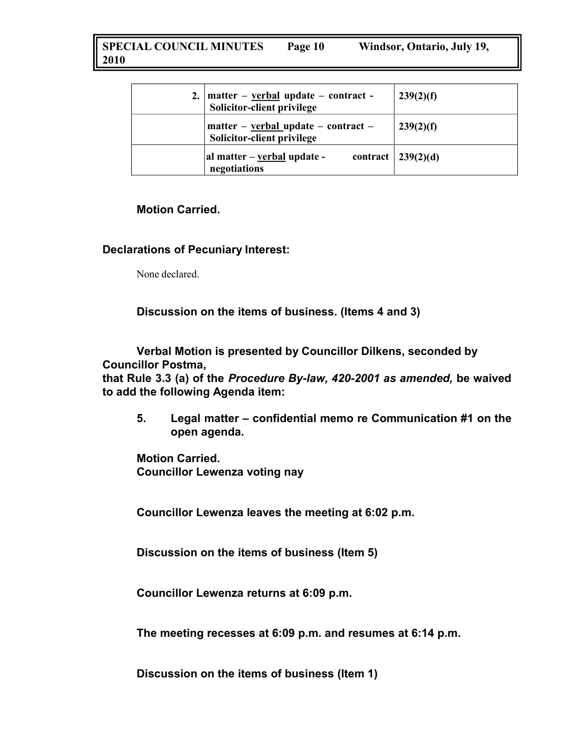**SPECIAL COUNCIL MINUTES 2010 Page 10 Windsor, Ontario, July 19,**

| 2. | $matter - verbal update - contract -$<br>Solicitor-client privilege | 239(2)(f)                  |
|----|---------------------------------------------------------------------|----------------------------|
|    | $matter - verbal update - contract -$<br>Solicitor-client privilege | 239(2)(f)                  |
|    | al matter – verbal update -<br>negotiations                         | contract $\vert$ 239(2)(d) |

### **Motion Carried.**

### **Declarations of Pecuniary Interest:**

None declared.

**Discussion on the items of business. (Items 4 and 3)**

**Verbal Motion is presented by Councillor Dilkens, seconded by Councillor Postma,**

**that Rule 3.3 (a) of the** *Procedure By-law, 420-2001 as amended,* **be waived to add the following Agenda item:**

**5. Legal matter – confidential memo re Communication #1 on the open agenda.**

**Motion Carried. Councillor Lewenza voting nay**

**Councillor Lewenza leaves the meeting at 6:02 p.m.**

**Discussion on the items of business (Item 5)**

**Councillor Lewenza returns at 6:09 p.m.**

**The meeting recesses at 6:09 p.m. and resumes at 6:14 p.m.**

**Discussion on the items of business (Item 1)**